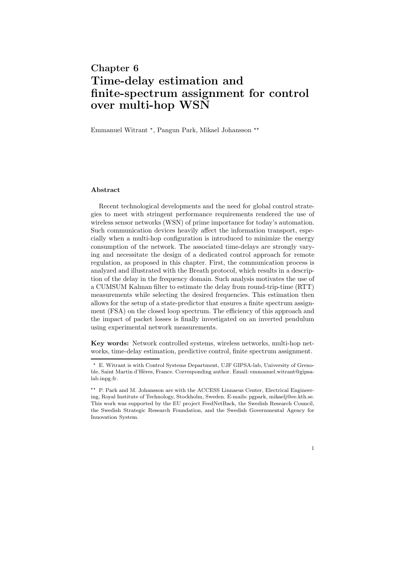# Chapter 6 Time-delay estimation and finite-spectrum assignment for control over multi-hop WSN

Emmanuel Witrant<sup>\*</sup>, Pangun Park, Mikael Johansson<sup>\*\*</sup>

#### Abstract

Recent technological developments and the need for global control strategies to meet with stringent performance requirements rendered the use of wireless sensor networks (WSN) of prime importance for today's automation. Such communication devices heavily affect the information transport, especially when a multi-hop configuration is introduced to minimize the energy consumption of the network. The associated time-delays are strongly varying and necessitate the design of a dedicated control approach for remote regulation, as proposed in this chapter. First, the communication process is analyzed and illustrated with the Breath protocol, which results in a description of the delay in the frequency domain. Such analysis motivates the use of a CUMSUM Kalman filter to estimate the delay from round-trip-time (RTT) measurements while selecting the desired frequencies. This estimation then allows for the setup of a state-predictor that ensures a finite spectrum assignment (FSA) on the closed loop spectrum. The efficiency of this approach and the impact of packet losses is finally investigated on an inverted pendulum using experimental network measurements.

Key words: Network controlled systems, wireless networks, multi-hop networks, time-delay estimation, predictive control, finite spectrum assignment.

<sup>⋆</sup> E. Witrant is with Control Systems Department, UJF GIPSA-lab, University of Grenoble, Saint Martin d'H`eres, France. Corresponding author. Email: emmanuel.witrant@gipsalab.inpg.fr.

<sup>⋆⋆</sup> P. Park and M. Johansson are with the ACCESS Linnaeus Center, Electrical Engineering, Royal Institute of Technology, Stockholm, Sweden. E-mails: pgpark, mikaelj@ee.kth.se. This work was supported by the EU project FeedNetBack, the Swedish Research Council, the Swedish Strategic Research Foundation, and the Swedish Governmental Agency for Innovation System.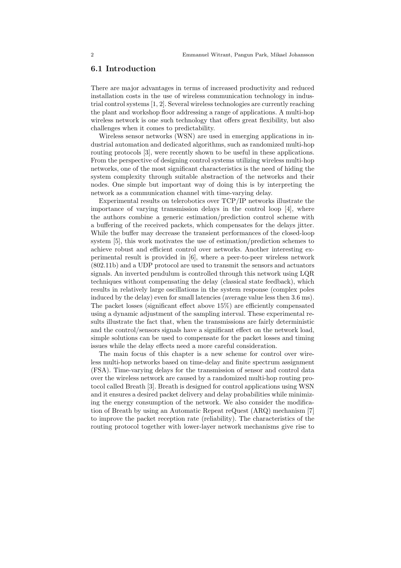## 6.1 Introduction

There are major advantages in terms of increased productivity and reduced installation costs in the use of wireless communication technology in industrial control systems [1, 2]. Several wireless technologies are currently reaching the plant and workshop floor addressing a range of applications. A multi-hop wireless network is one such technology that offers great flexibility, but also challenges when it comes to predictability.

Wireless sensor networks (WSN) are used in emerging applications in industrial automation and dedicated algorithms, such as randomized multi-hop routing protocols [3], were recently shown to be useful in these applications. From the perspective of designing control systems utilizing wireless multi-hop networks, one of the most significant characteristics is the need of hiding the system complexity through suitable abstraction of the networks and their nodes. One simple but important way of doing this is by interpreting the network as a communication channel with time-varying delay.

Experimental results on telerobotics over TCP/IP networks illustrate the importance of varying transmission delays in the control loop [4], where the authors combine a generic estimation/prediction control scheme with a buffering of the received packets, which compensates for the delays jitter. While the buffer may decrease the transient performances of the closed-loop system [5], this work motivates the use of estimation/prediction schemes to achieve robust and efficient control over networks. Another interesting experimental result is provided in [6], where a peer-to-peer wireless network (802.11b) and a UDP protocol are used to transmit the sensors and actuators signals. An inverted pendulum is controlled through this network using LQR techniques without compensating the delay (classical state feedback), which results in relatively large oscillations in the system response (complex poles induced by the delay) even for small latencies (average value less then 3.6 ms). The packet losses (significant effect above 15%) are efficiently compensated using a dynamic adjustment of the sampling interval. These experimental results illustrate the fact that, when the transmissions are fairly deterministic and the control/sensors signals have a significant effect on the network load, simple solutions can be used to compensate for the packet losses and timing issues while the delay effects need a more careful consideration.

The main focus of this chapter is a new scheme for control over wireless multi-hop networks based on time-delay and finite spectrum assignment (FSA). Time-varying delays for the transmission of sensor and control data over the wireless network are caused by a randomized multi-hop routing protocol called Breath [3]. Breath is designed for control applications using WSN and it ensures a desired packet delivery and delay probabilities while minimizing the energy consumption of the network. We also consider the modification of Breath by using an Automatic Repeat reQuest (ARQ) mechanism [7] to improve the packet reception rate (reliability). The characteristics of the routing protocol together with lower-layer network mechanisms give rise to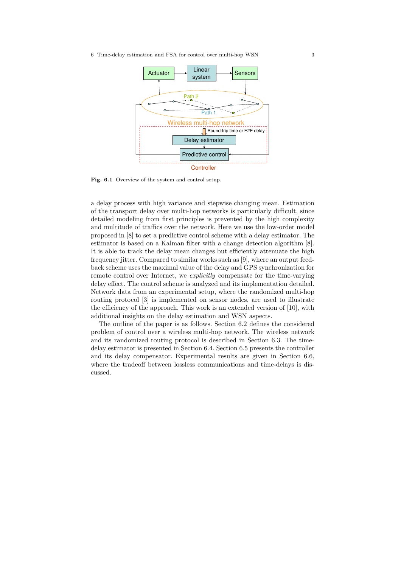

Fig. 6.1 Overview of the system and control setup.

a delay process with high variance and stepwise changing mean. Estimation of the transport delay over multi-hop networks is particularly difficult, since detailed modeling from first principles is prevented by the high complexity and multitude of traffics over the network. Here we use the low-order model proposed in [8] to set a predictive control scheme with a delay estimator. The estimator is based on a Kalman filter with a change detection algorithm [8]. It is able to track the delay mean changes but efficiently attenuate the high frequency jitter. Compared to similar works such as [9], where an output feedback scheme uses the maximal value of the delay and GPS synchronization for remote control over Internet, we *explicitly* compensate for the time-varying delay effect. The control scheme is analyzed and its implementation detailed. Network data from an experimental setup, where the randomized multi-hop routing protocol [3] is implemented on sensor nodes, are used to illustrate the efficiency of the approach. This work is an extended version of [10], with additional insights on the delay estimation and WSN aspects.

The outline of the paper is as follows. Section 6.2 defines the considered problem of control over a wireless multi-hop network. The wireless network and its randomized routing protocol is described in Section 6.3. The timedelay estimator is presented in Section 6.4. Section 6.5 presents the controller and its delay compensator. Experimental results are given in Section 6.6, where the tradeoff between lossless communications and time-delays is discussed.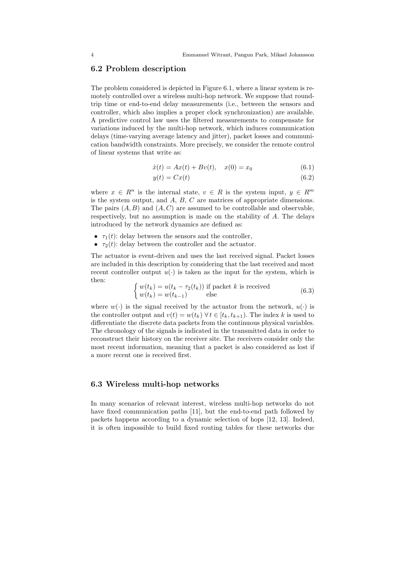## 6.2 Problem description

The problem considered is depicted in Figure 6.1, where a linear system is remotely controlled over a wireless multi-hop network. We suppose that roundtrip time or end-to-end delay measurements (i.e., between the sensors and controller, which also implies a proper clock synchronization) are available. A predictive control law uses the filtered measurements to compensate for variations induced by the multi-hop network, which induces communication delays (time-varying average latency and jitter), packet losses and communication bandwidth constraints. More precisely, we consider the remote control of linear systems that write as:

$$
\dot{x}(t) = Ax(t) + Bv(t), \quad x(0) = x_0 \tag{6.1}
$$

$$
y(t) = Cx(t) \tag{6.2}
$$

where  $x \in R^n$  is the internal state,  $v \in R$  is the system input,  $y \in R^m$ is the system output, and  $A, B, C$  are matrices of appropriate dimensions. The pairs  $(A, B)$  and  $(A, C)$  are assumed to be controllable and observable, respectively, but no assumption is made on the stability of A. The delays introduced by the network dynamics are defined as:

- $\tau_1(t)$ : delay between the sensors and the controller,
- $\tau_2(t)$ : delay between the controller and the actuator.

The actuator is event-driven and uses the last received signal. Packet losses are included in this description by considering that the last received and most recent controller output  $u(\cdot)$  is taken as the input for the system, which is then:

$$
\begin{cases} w(t_k) = u(t_k - \tau_2(t_k)) \text{ if packet } k \text{ is received} \\ w(t_k) = w(t_{k-1}) \text{ else} \end{cases}
$$
 (6.3)

where  $w(\cdot)$  is the signal received by the actuator from the network,  $u(\cdot)$  is the controller output and  $v(t) = w(t_k)$   $\forall t \in [t_k, t_{k+1})$ . The index k is used to differentiate the discrete data packets from the continuous physical variables. The chronology of the signals is indicated in the transmitted data in order to reconstruct their history on the receiver site. The receivers consider only the most recent information, meaning that a packet is also considered as lost if a more recent one is received first.

### 6.3 Wireless multi-hop networks

In many scenarios of relevant interest, wireless multi-hop networks do not have fixed communication paths [11], but the end-to-end path followed by packets happens according to a dynamic selection of hops [12, 13]. Indeed, it is often impossible to build fixed routing tables for these networks due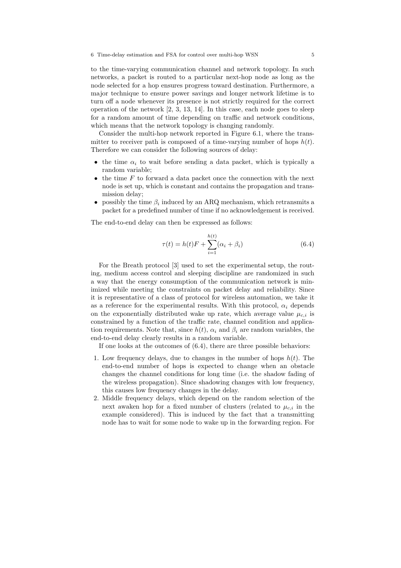to the time-varying communication channel and network topology. In such networks, a packet is routed to a particular next-hop node as long as the node selected for a hop ensures progress toward destination. Furthermore, a major technique to ensure power savings and longer network lifetime is to turn off a node whenever its presence is not strictly required for the correct operation of the network  $[2, 3, 13, 14]$ . In this case, each node goes to sleep for a random amount of time depending on traffic and network conditions, which means that the network topology is changing randomly.

Consider the multi-hop network reported in Figure 6.1, where the transmitter to receiver path is composed of a time-varying number of hops  $h(t)$ . Therefore we can consider the following sources of delay:

- the time  $\alpha_i$  to wait before sending a data packet, which is typically a random variable;
- the time  $F$  to forward a data packet once the connection with the next node is set up, which is constant and contains the propagation and transmission delay;
- possibly the time  $\beta_i$  induced by an ARQ mechanism, which retransmits a packet for a predefined number of time if no acknowledgement is received.

The end-to-end delay can then be expressed as follows:

$$
\tau(t) = h(t)F + \sum_{i=1}^{h(t)} (\alpha_i + \beta_i)
$$
\n(6.4)

For the Breath protocol [3] used to set the experimental setup, the routing, medium access control and sleeping discipline are randomized in such a way that the energy consumption of the communication network is minimized while meeting the constraints on packet delay and reliability. Since it is representative of a class of protocol for wireless automation, we take it as a reference for the experimental results. With this protocol,  $\alpha_i$  depends on the exponentially distributed wake up rate, which average value  $\mu_{c,i}$  is constrained by a function of the traffic rate, channel condition and application requirements. Note that, since  $h(t)$ ,  $\alpha_i$  and  $\beta_i$  are random variables, the end-to-end delay clearly results in a random variable.

If one looks at the outcomes of (6.4), there are three possible behaviors:

- 1. Low frequency delays, due to changes in the number of hops  $h(t)$ . The end-to-end number of hops is expected to change when an obstacle changes the channel conditions for long time (i.e. the shadow fading of the wireless propagation). Since shadowing changes with low frequency, this causes low frequency changes in the delay.
- 2. Middle frequency delays, which depend on the random selection of the next awaken hop for a fixed number of clusters (related to  $\mu_{c,i}$  in the example considered). This is induced by the fact that a transmitting node has to wait for some node to wake up in the forwarding region. For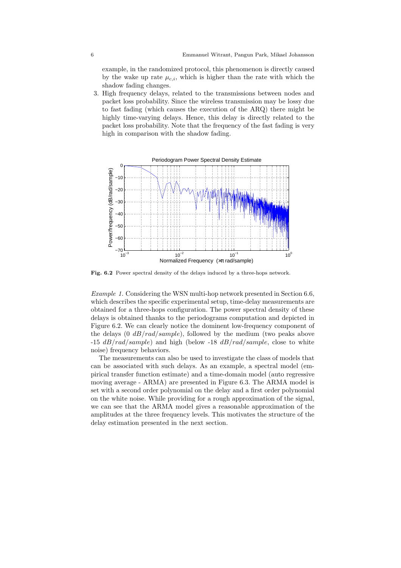example, in the randomized protocol, this phenomenon is directly caused by the wake up rate  $\mu_{c,i}$ , which is higher than the rate with which the shadow fading changes.

3. High frequency delays, related to the transmissions between nodes and packet loss probability. Since the wireless transmission may be lossy due to fast fading (which causes the execution of the ARQ) there might be highly time-varying delays. Hence, this delay is directly related to the packet loss probability. Note that the frequency of the fast fading is very high in comparison with the shadow fading.



Fig. 6.2 Power spectral density of the delays induced by a three-hops network.

*Example 1.* Considering the WSN multi-hop network presented in Section 6.6, which describes the specific experimental setup, time-delay measurements are obtained for a three-hops configuration. The power spectral density of these delays is obtained thanks to the periodograms computation and depicted in Figure 6.2. We can clearly notice the dominent low-frequency component of the delays  $(0 \text{ dB/rad/sample})$ , followed by the medium (two peaks above  $-15$   $dB/rad/sample$  and high (below  $-18$   $dB/rad/sample$ , close to white noise) frequency behaviors.

The measurements can also be used to investigate the class of models that can be associated with such delays. As an example, a spectral model (empirical transfer function estimate) and a time-domain model (auto regressive moving average - ARMA) are presented in Figure 6.3. The ARMA model is set with a second order polynomial on the delay and a first order polynomial on the white noise. While providing for a rough approximation of the signal, we can see that the ARMA model gives a reasonable approximation of the amplitudes at the three frequency levels. This motivates the structure of the delay estimation presented in the next section.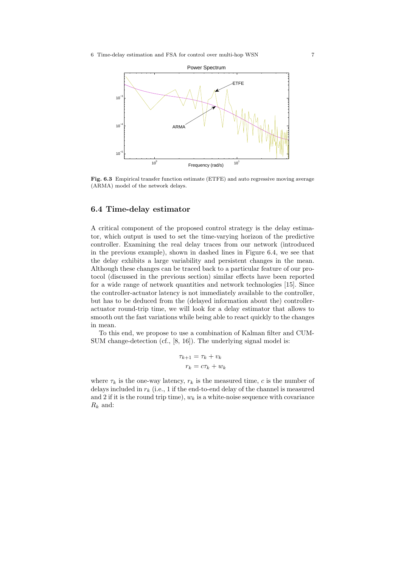

Fig. 6.3 Empirical transfer function estimate (ETFE) and auto regressive moving average (ARMA) model of the network delays.

## 6.4 Time-delay estimator

A critical component of the proposed control strategy is the delay estimator, which output is used to set the time-varying horizon of the predictive controller. Examining the real delay traces from our network (introduced in the previous example), shown in dashed lines in Figure 6.4, we see that the delay exhibits a large variability and persistent changes in the mean. Although these changes can be traced back to a particular feature of our protocol (discussed in the previous section) similar effects have been reported for a wide range of network quantities and network technologies [15]. Since the controller-actuator latency is not immediately available to the controller, but has to be deduced from the (delayed information about the) controlleractuator round-trip time, we will look for a delay estimator that allows to smooth out the fast variations while being able to react quickly to the changes in mean.

To this end, we propose to use a combination of Kalman filter and CUM-SUM change-detection (cf., [8, 16]). The underlying signal model is:

$$
\tau_{k+1} = \tau_k + v_k
$$

$$
r_k = c\tau_k + w_k
$$

where  $\tau_k$  is the one-way latency,  $r_k$  is the measured time, c is the number of delays included in  $r_k$  (i.e., 1 if the end-to-end delay of the channel is measured and 2 if it is the round trip time),  $w_k$  is a white-noise sequence with covariance  $R_k$  and: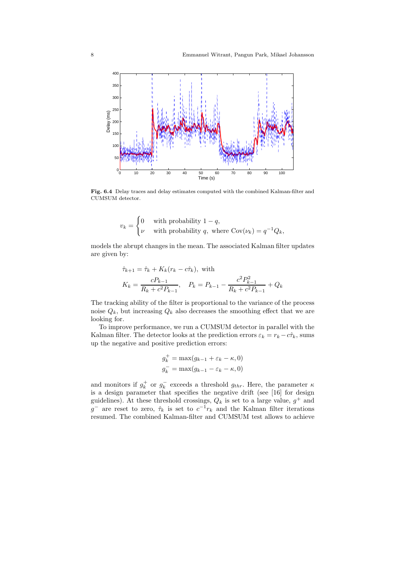

Fig. 6.4 Delay traces and delay estimates computed with the combined Kalman-filter and CUMSUM detector.

$$
v_k = \begin{cases} 0 & \text{with probability } 1 - q, \\ \nu & \text{with probability } q, \text{ where } \text{Cov}(\nu_k) = q^{-1} Q_k, \end{cases}
$$

models the abrupt changes in the mean. The associated Kalman filter updates are given by:

$$
\hat{\tau}_{k+1} = \hat{\tau}_k + K_k (r_k - c\hat{\tau}_k), \text{ with}
$$
\n
$$
K_k = \frac{cP_{k-1}}{R_k + c^2 P_{k-1}}, \quad P_k = P_{k-1} - \frac{c^2 P_{k-1}^2}{R_k + c^2 P_{k-1}} + Q_k
$$

The tracking ability of the filter is proportional to the variance of the process noise  $Q_k$ , but increasing  $Q_k$  also decreases the smoothing effect that we are looking for.

To improve performance, we run a CUMSUM detector in parallel with the Kalman filter. The detector looks at the prediction errors  $\varepsilon_k = r_k - c\hat{\tau}_k$ , sums up the negative and positive prediction errors:

$$
g_k^+ = \max(g_{k-1} + \varepsilon_k - \kappa, 0)
$$

$$
g_k^- = \max(g_{k-1} - \varepsilon_k - \kappa, 0)
$$

and monitors if  $g_k^+$  or  $g_k^ \bar{k}$  exceeds a threshold  $g_{thr}$ . Here, the parameter  $\kappa$ is a design parameter that specifies the negative drift (see [16] for design guidelines). At these threshold crossings,  $Q_k$  is set to a large value,  $g^+$  and  $g^-$  are reset to zero,  $\hat{\tau}_k$  is set to  $c^{-1}r_k$  and the Kalman filter iterations resumed. The combined Kalman-filter and CUMSUM test allows to achieve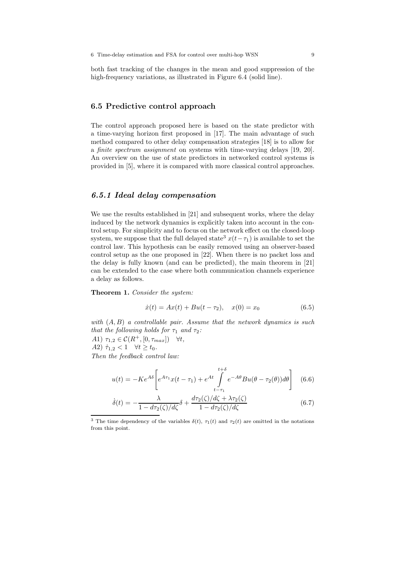both fast tracking of the changes in the mean and good suppression of the high-frequency variations, as illustrated in Figure 6.4 (solid line).

# 6.5 Predictive control approach

The control approach proposed here is based on the state predictor with a time-varying horizon first proposed in [17]. The main advantage of such method compared to other delay compensation strategies [18] is to allow for a *finite spectrum assignment* on systems with time-varying delays [19, 20]. An overview on the use of state predictors in networked control systems is provided in [5], where it is compared with more classical control approaches.

## 6.5.1 Ideal delay compensation

We use the results established in [21] and subsequent works, where the delay induced by the network dynamics is explicitly taken into account in the control setup. For simplicity and to focus on the network effect on the closed-loop system, we suppose that the full delayed state<sup>3</sup>  $x(t-\tau_1)$  is available to set the control law. This hypothesis can be easily removed using an observer-based control setup as the one proposed in [22]. When there is no packet loss and the delay is fully known (and can be predicted), the main theorem in [21] can be extended to the case where both communication channels experience a delay as follows.

Theorem 1. *Consider the system:*

$$
\dot{x}(t) = Ax(t) + Bu(t - \tau_2), \quad x(0) = x_0 \tag{6.5}
$$

*with* (A, B) *a controllable pair. Assume that the network dynamics is such that the following holds for*  $\tau_1$  *and*  $\tau_2$ *:* 

A1)  $\tau_{1,2} \in C(R^+, [0, \tau_{max}]) \quad \forall t$ ,

A2)  $\dot{\tau}_{1,2} < 1 \quad \forall t \ge t_0$ .

*Then the feedback control law:*

$$
u(t) = -Ke^{A\delta} \left[ e^{A\tau_1}x(t-\tau_1) + e^{At} \int_{t-\tau_1}^{t+\delta} e^{-A\theta}Bu(\theta - \tau_2(\theta))d\theta \right] \quad (6.6)
$$

$$
\dot{\delta}(t) = -\frac{\lambda}{1 - d\tau_2(\zeta)/d\zeta} \delta + \frac{d\tau_2(\zeta)/d\zeta + \lambda \tau_2(\zeta)}{1 - d\tau_2(\zeta)/d\zeta}
$$
(6.7)

<sup>3</sup> The time dependency of the variables  $\delta(t)$ ,  $\tau_1(t)$  and  $\tau_2(t)$  are omitted in the notations from this point.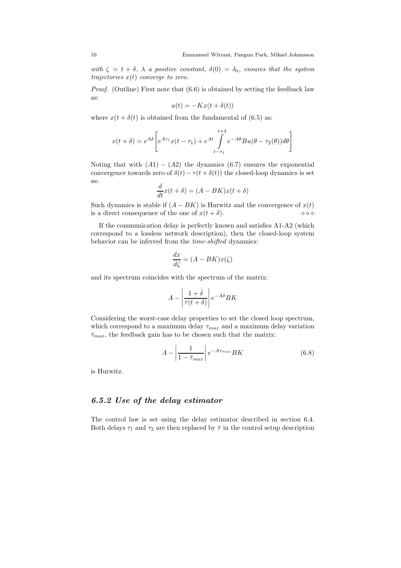*with*  $\zeta = t + \delta$ ,  $\lambda$  *a positive constant,*  $\delta(0) = \delta_0$ *, ensures that the system trajectories* x(t) *converge to zero.*

*Proof.* (Outline) First note that  $(6.6)$  is obtained by setting the feedback law as:

$$
u(t) = -Kx(t + \delta(t))
$$

where  $x(t + \delta(t))$  is obtained from the fundamental of (6.5) as:

$$
x(t+\delta) = e^{A\delta} \left[ e^{A\tau_1} x(t-\tau_1) + e^{At} \int_{t-\tau_1}^{t+\delta} e^{-A\theta} Bu(\theta - \tau_2(\theta)) d\theta \right]
$$

Noting that with  $(A1) - (A2)$  the dynamics (6.7) ensures the exponential convergence towards zero of  $\delta(t) - \tau(t + \delta(t))$  the closed-loop dynamics is set as:

$$
\frac{d}{dt}x(t+\delta) = (A - BK)x(t+\delta)
$$

Such dynamics is stable if  $(A - BK)$  is Hurwitz and the convergence of  $x(t)$ is a direct consequence of the one of x(t + δ). ⋄ ⋄ ⋄

If the communication delay is perfectly known and satisfies A1-A2 (which correspond to a lossless network description), then the closed-loop system behavior can be inferred from the *time-shifted* dynamics:

$$
\frac{dx}{d\zeta} = (A - BK)x(\zeta)
$$

and its spectrum coincides with the spectrum of the matrix:

$$
A - \left| \frac{1 + \dot{\delta}}{\dot{\tau}(t + \delta)} \right| e^{-A\delta} BK
$$

Considering the worst-case delay properties to set the closed loop spectrum, which correspond to a maximum delay  $\tau_{max}$  and a maximum delay variation  $\dot{\tau}_{max}$ , the feedback gain has to be chosen such that the matrix:

$$
A - \left| \frac{1}{1 - \dot{\tau}_{max}} \right| e^{-A\tau_{max}} BK \tag{6.8}
$$

is Hurwitz.

# 6.5.2 Use of the delay estimator

The control law is set using the delay estimator described in section 6.4. Both delays  $\tau_1$  and  $\tau_2$  are then replaced by  $\hat{\tau}$  in the control setup description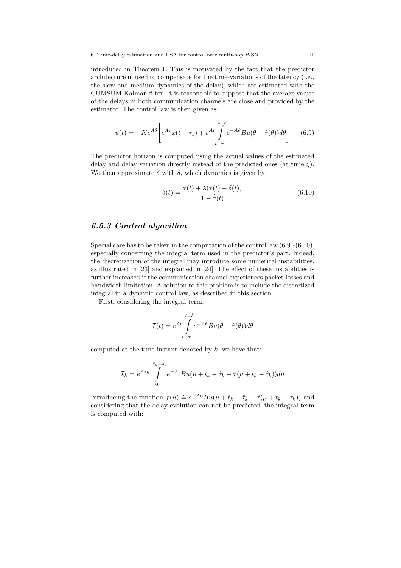introduced in Theorem 1. This is motivated by the fact that the predictor architecture in used to compensate for the time-variations of the latency (i.e., the slow and medium dynamics of the delay), which are estimated with the CUMSUM Kalman filter. It is reasonable to suppose that the average values of the delays in both communication channels are close and provided by the estimator. The control law is then given as:

$$
u(t) = -Ke^{A\delta} \left[ e^{A\hat{\tau}}x(t-\tau_1) + e^{At} \int_{t-\hat{\tau}}^{t+\delta} e^{-A\theta}Bu(\theta - \hat{\tau}(\theta))d\theta \right]
$$
(6.9)

The predictor horizon is computed using the actual values of the estimated delay and delay variation directly instead of the predicted ones (at time  $\zeta$ ). We then approximate  $\delta$  with  $\hat{\delta}$ , which dynamics is given by:

$$
\dot{\hat{\delta}}(t) = \frac{\dot{\hat{\tau}}(t) + \lambda(\hat{\tau}(t) - \hat{\delta}(t))}{1 - \dot{\hat{\tau}}(t)}
$$
(6.10)

## 6.5.3 Control algorithm

Special care has to be taken in the computation of the control law  $(6.9)-(6.10)$ , especially concerning the integral term used in the predictor's part. Indeed, the discretization of the integral may introduce some numerical instabilities, as illustrated in [23] and explained in [24]. The effect of these instabilities is further increased if the communication channel experiences packet losses and bandwidth limitation. A solution to this problem is to include the discretized integral in a dynamic control law, as described in this section.

First, considering the integral term:

$$
\mathcal{I}(t) \doteq e^{At} \int_{t-\hat{\tau}}^{t+\hat{\delta}} e^{-A\theta} Bu(\theta - \hat{\tau}(\theta)) d\theta
$$

computed at the time instant denoted by  $k$ , we have that:

$$
\mathcal{I}_k = e^{A\hat{\tau}_k} \int\limits_0^{\hat{\tau}_k + \hat{\delta}_k} e^{-Au} Bu(\mu + t_k - \hat{\tau}_k - \hat{\tau}(\mu + t_k - \hat{\tau}_k)) d\mu
$$

Introducing the function  $f(\mu) \doteq e^{-A\mu}Bu(\mu + t_k - \hat{\tau}_k - \hat{\tau}(\mu + t_k - \hat{\tau}_k))$  and considering that the delay evolution can not be predicted, the integral term is computed with: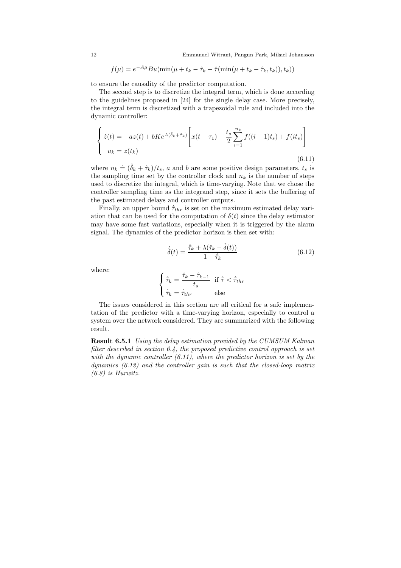12 Emmanuel Witrant, Pangun Park, Mikael Johansson

$$
f(\mu) = e^{-A\mu}Bu(\min(\mu + t_k - \hat{\tau}_k - \hat{\tau}(\min(\mu + t_k - \hat{\tau}_k, t_k)), t_k))
$$

to ensure the causality of the predictor computation.

The second step is to discretize the integral term, which is done according to the guidelines proposed in [24] for the single delay case. More precisely, the integral term is discretized with a trapezoidal rule and included into the dynamic controller:

$$
\begin{cases}\n\dot{z}(t) = -az(t) + bKe^{A(\hat{\delta}_k + \hat{\tau}_k)} \left[ x(t - \tau_1) + \frac{t_s}{2} \sum_{i=1}^{n_k} f((i - 1)t_s) + f(it_s) \right] \\
u_k = z(t_k)\n\end{cases}
$$
\n(6.11)

where  $n_k \doteq (\hat{\delta}_k + \hat{\tau}_k)/t_s$ , a and b are some positive design parameters,  $t_s$  is the sampling time set by the controller clock and  $n_k$  is the number of steps used to discretize the integral, which is time-varying. Note that we chose the controller sampling time as the integrand step, since it sets the buffering of the past estimated delays and controller outputs.

Finally, an upper bound  $\dot{\bar{\tau}}_{thr}$  is set on the maximum estimated delay variation that can be used for the computation of  $\delta(t)$  since the delay estimator may have some fast variations, especially when it is triggered by the alarm signal. The dynamics of the predictor horizon is then set with:

$$
\dot{\hat{\delta}}(t) = \frac{\dot{\bar{\tau}}_k + \lambda(\hat{\tau}_k - \hat{\delta}(t))}{1 - \dot{\bar{\tau}}_k} \tag{6.12}
$$

where:

$$
\left\{ \begin{aligned} \dot{\bar{\tau}}_k &= \frac{\hat{\tau}_k - \hat{\tau}_{k-1}}{t_s} \ \ \text{if} \ \dot{\bar{\tau}} < \dot{\bar{\tau}}_{thr} \\ \dot{\bar{\tau}}_k &= \dot{\bar{\tau}}_{thr} \qquad \quad \text{else} \end{aligned} \right.
$$

The issues considered in this section are all critical for a safe implementation of the predictor with a time-varying horizon, especially to control a system over the network considered. They are summarized with the following result.

Result 6.5.1 *Using the delay estimation provided by the CUMSUM Kalman filter described in section 6.4, the proposed predictive control approach is set with the dynamic controller (6.11), where the predictor horizon is set by the dynamics (6.12) and the controller gain is such that the closed-loop matrix (6.8) is Hurwitz.*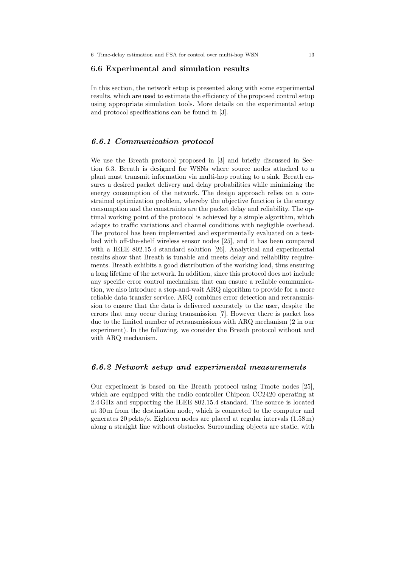#### 6.6 Experimental and simulation results

In this section, the network setup is presented along with some experimental results, which are used to estimate the efficiency of the proposed control setup using appropriate simulation tools. More details on the experimental setup and protocol specifications can be found in [3].

#### 6.6.1 Communication protocol

We use the Breath protocol proposed in [3] and briefly discussed in Section 6.3. Breath is designed for WSNs where source nodes attached to a plant must transmit information via multi-hop routing to a sink. Breath ensures a desired packet delivery and delay probabilities while minimizing the energy consumption of the network. The design approach relies on a constrained optimization problem, whereby the objective function is the energy consumption and the constraints are the packet delay and reliability. The optimal working point of the protocol is achieved by a simple algorithm, which adapts to traffic variations and channel conditions with negligible overhead. The protocol has been implemented and experimentally evaluated on a testbed with off-the-shelf wireless sensor nodes [25], and it has been compared with a IEEE 802.15.4 standard solution [26]. Analytical and experimental results show that Breath is tunable and meets delay and reliability requirements. Breath exhibits a good distribution of the working load, thus ensuring a long lifetime of the network. In addition, since this protocol does not include any specific error control mechanism that can ensure a reliable communication, we also introduce a stop-and-wait ARQ algorithm to provide for a more reliable data transfer service. ARQ combines error detection and retransmission to ensure that the data is delivered accurately to the user, despite the errors that may occur during transmission [7]. However there is packet loss due to the limited number of retransmissions with ARQ mechanism (2 in our experiment). In the following, we consider the Breath protocol without and with ARQ mechanism.

#### 6.6.2 Network setup and experimental measurements

Our experiment is based on the Breath protocol using Tmote nodes [25], which are equipped with the radio controller Chipcon CC2420 operating at 2.4 GHz and supporting the IEEE 802.15.4 standard. The source is located at 30 m from the destination node, which is connected to the computer and generates 20 pckts/s. Eighteen nodes are placed at regular intervals (1.58 m) along a straight line without obstacles. Surrounding objects are static, with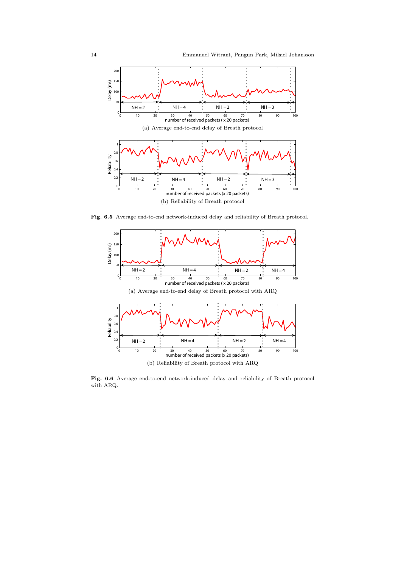

Fig. 6.5 Average end-to-end network-induced delay and reliability of Breath protocol.



Fig. 6.6 Average end-to-end network-induced delay and reliability of Breath protocol with ARQ.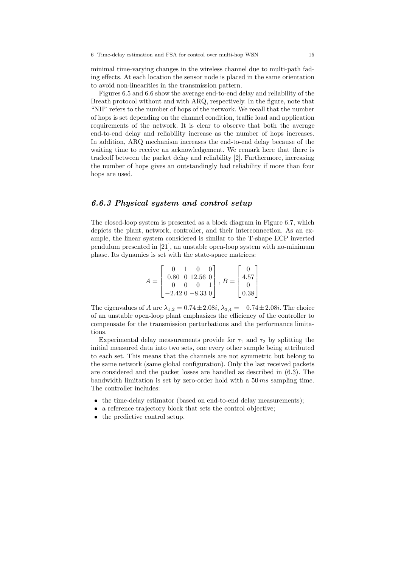minimal time-varying changes in the wireless channel due to multi-path fading effects. At each location the sensor node is placed in the same orientation to avoid non-linearities in the transmission pattern.

Figures 6.5 and 6.6 show the average end-to-end delay and reliability of the Breath protocol without and with ARQ, respectively. In the figure, note that "NH" refers to the number of hops of the network. We recall that the number of hops is set depending on the channel condition, traffic load and application requirements of the network. It is clear to observe that both the average end-to-end delay and reliability increase as the number of hops increases. In addition, ARQ mechanism increases the end-to-end delay because of the waiting time to receive an acknowledgement. We remark here that there is tradeoff between the packet delay and reliability [2]. Furthermore, increasing the number of hops gives an outstandingly bad reliability if more than four hops are used.

## 6.6.3 Physical system and control setup

The closed-loop system is presented as a block diagram in Figure 6.7, which depicts the plant, network, controller, and their interconnection. As an example, the linear system considered is similar to the T-shape ECP inverted pendulum presented in [21], an unstable open-loop system with no-minimum phase. Its dynamics is set with the state-space matrices:

$$
A = \begin{bmatrix} 0 & 1 & 0 & 0 \\ 0.80 & 0 & 12.56 & 0 \\ 0 & 0 & 0 & 1 \\ -2.42 & 0 & -8.33 & 0 \end{bmatrix}, B = \begin{bmatrix} 0 \\ 4.57 \\ 0 \\ 0.38 \end{bmatrix}
$$

The eigenvalues of A are  $\lambda_{1,2} = 0.74 \pm 2.08i$ ,  $\lambda_{3,4} = -0.74 \pm 2.08i$ . The choice of an unstable open-loop plant emphasizes the efficiency of the controller to compensate for the transmission perturbations and the performance limitations.

Experimental delay measurements provide for  $\tau_1$  and  $\tau_2$  by splitting the initial measured data into two sets, one every other sample being attributed to each set. This means that the channels are not symmetric but belong to the same network (same global configuration). Only the last received packets are considered and the packet losses are handled as described in (6.3). The bandwidth limitation is set by zero-order hold with a  $50 \, ms$  sampling time. The controller includes:

- the time-delay estimator (based on end-to-end delay measurements);
- a reference trajectory block that sets the control objective;
- the predictive control setup.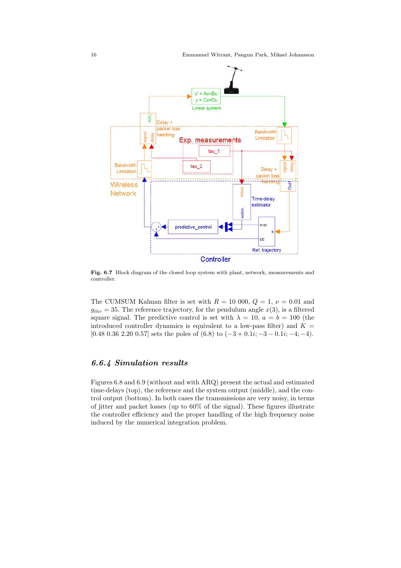

Fig. 6.7 Block diagram of the closed loop system with plant, network, measurements and controller.

The CUMSUM Kalman filter is set with  $R = 10000, Q = 1, \nu = 0.01$  and  $g_{thr} = 35$ . The reference trajectory, for the pendulum angle  $x(3)$ , is a filtered square signal. The predictive control is set with  $\lambda = 10$ ,  $a = b = 100$  (the introduced controller dynamics is equivalent to a low-pass filter) and  $K =$ [0.48 0.36 2.20 0.57] sets the poles of  $(6.8)$  to  $(-3 + 0.1i; -3 - 0.1i; -4; -4)$ .

#### 6.6.4 Simulation results

Figures 6.8 and 6.9 (without and with ARQ) present the actual and estimated time-delays (top), the reference and the system output (middle), and the control output (bottom). In both cases the transmissions are very noisy, in terms of jitter and packet losses (up to 60% of the signal). These figures illustrate the controller efficiency and the proper handling of the high frequency noise induced by the numerical integration problem.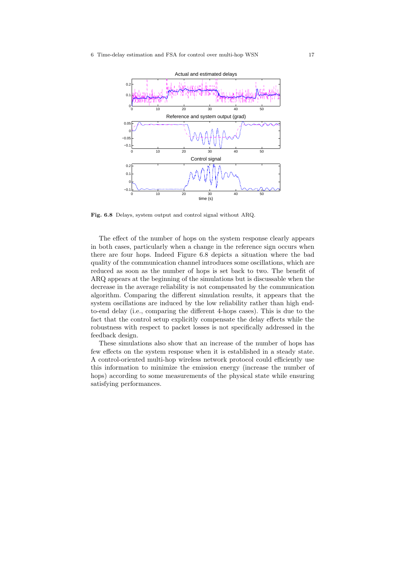

Fig. 6.8 Delays, system output and control signal without ARQ.

The effect of the number of hops on the system response clearly appears in both cases, particularly when a change in the reference sign occurs when there are four hops. Indeed Figure 6.8 depicts a situation where the bad quality of the communication channel introduces some oscillations, which are reduced as soon as the number of hops is set back to two. The benefit of ARQ appears at the beginning of the simulations but is discussable when the decrease in the average reliability is not compensated by the communication algorithm. Comparing the different simulation results, it appears that the system oscillations are induced by the low reliability rather than high endto-end delay (i.e., comparing the different 4-hops cases). This is due to the fact that the control setup explicitly compensate the delay effects while the robustness with respect to packet losses is not specifically addressed in the feedback design.

These simulations also show that an increase of the number of hops has few effects on the system response when it is established in a steady state. A control-oriented multi-hop wireless network protocol could efficiently use this information to minimize the emission energy (increase the number of hops) according to some measurements of the physical state while ensuring satisfying performances.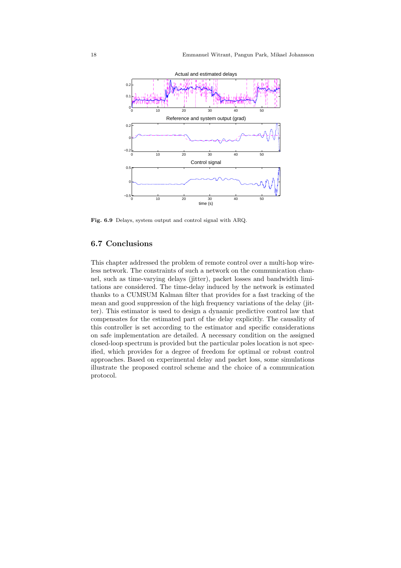

Fig. 6.9 Delays, system output and control signal with ARQ.

# 6.7 Conclusions

This chapter addressed the problem of remote control over a multi-hop wireless network. The constraints of such a network on the communication channel, such as time-varying delays (jitter), packet losses and bandwidth limitations are considered. The time-delay induced by the network is estimated thanks to a CUMSUM Kalman filter that provides for a fast tracking of the mean and good suppression of the high frequency variations of the delay (jitter). This estimator is used to design a dynamic predictive control law that compensates for the estimated part of the delay explicitly. The causality of this controller is set according to the estimator and specific considerations on safe implementation are detailed. A necessary condition on the assigned closed-loop spectrum is provided but the particular poles location is not specified, which provides for a degree of freedom for optimal or robust control approaches. Based on experimental delay and packet loss, some simulations illustrate the proposed control scheme and the choice of a communication protocol.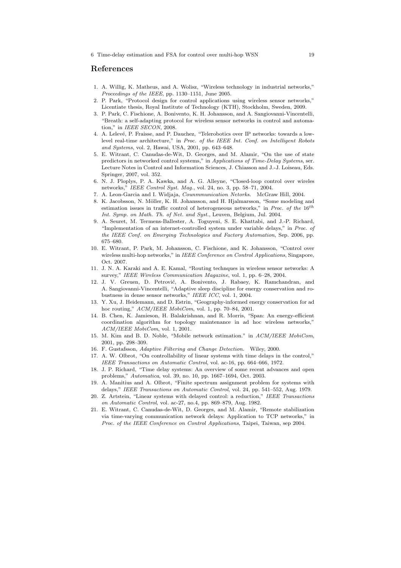#### References

- 1. A. Willig, K. Matheus, and A. Wolisz, "Wireless technology in industrial networks," *Proceedings of the IEEE*, pp. 1130–1151, June 2005.
- 2. P. Park, "Protocol design for control applications using wireless sensor networks," Licentiate thesis, Royal Institute of Technology (KTH), Stockholm, Sweden, 2009.
- 3. P. Park, C. Fischione, A. Bonivento, K. H. Johansson, and A. Sangiovanni-Vincentelli, "Breath: a self-adapting protocol for wireless sensor networks in control and automation," in *IEEE SECON*, 2008.
- 4. A. Lelevé, P. Fraisse, and P. Dauchez, "Telerobotics over IP networks: towards a lowlevel real-time architecture," in *Proc. of the IEEE Int. Conf. on Intelligent Robots and Systems*, vol. 2, Hawai, USA, 2001, pp. 643–648.
- 5. E. Witrant, C. Canudas-de-Wit, D. Georges, and M. Alamir, "On the use of state predictors in networked control systems," in *Applications of Time-Delay Systems*, ser. Lecture Notes in Control and Information Sciences, J. Chiasson and J.-J. Loiseau, Eds. Springer, 2007, vol. 352.
- 6. N. J. Ploplys, P. A. Kawka, and A. G. Alleyne, "Closed-loop control over wireles networks," *IEEE Control Syst. Mag.*, vol. 24, no. 3, pp. 58–71, 2004.
- 7. A. Leon-Garcia and I. Widjaja, *Counmmunication Netorks*. McGraw Hill, 2004.
- 8. K. Jacobsson, N. Möller, K. H. Johansson, and H. Hjalmarsson, "Some modeling and estimation issues in traffic control of heterogeneous networks," in *Proc. of the* 16th *Int. Symp. on Math. Th. of Net. and Syst.*, Leuven, Belgium, Jul. 2004.
- 9. A. Seuret, M. Termens-Ballester, A. Toguyeni, S. E. Khattabi, and J.-P. Richard, "Implementation of an internet-controlled system under variable delays," in *Proc. of the IEEE Conf. on Emerging Technologies and Factory Automation*, Sep. 2006, pp. 675–680.
- 10. E. Witrant, P. Park, M. Johansson, C. Fischione, and K. Johansson, "Control over wireless multi-hop networks," in *IEEE Conference on Control Applications*, Singapore, Oct. 2007.
- 11. J. N. A. Karaki and A. E. Kamal, "Routing technques in wireless sensor networks: A survey," *IEEE Wireless Communication Magazine*, vol. 1, pp. 6–28, 2004.
- 12. J. V. Greuen, D. Petrović, A. Bonivento, J. Rabaey, K. Ramchandran, and A. Sangiovanni-Vincentelli, "Adaptive sleep discipline for energy conservation and robustness in dense sensor networks," *IEEE ICC*, vol. 1, 2004.
- 13. Y. Xu, J. Heidemann, and D. Estrin, "Geography-informed energy conservation for ad hoc routing," *ACM/IEEE MobiCom*, vol. 1, pp. 70–84, 2001.
- 14. B. Chen, K. Jamieson, H. Balakrishnan, and R. Morris, "Span: An energy-efficient coordination algorithm for topology maintenance in ad hoc wireless networks," *ACM/IEEE MobiCom*, vol. 1, 2001.
- 15. M. Kim and B. D. Noble, "Mobile network estimation." in *ACM/IEEE MobiCom*, 2001, pp. 298–309.
- 16. F. Gustafsson, *Adaptive Filtering and Change Detection*. Wiley, 2000.
- 17. A. W. Olbrot, "On controllability of linear systems with time delays in the control," *IEEE Transactions on Automatic Control*, vol. ac-16, pp. 664–666, 1972.
- 18. J. P. Richard, "Time delay systems: An overview of some recent advances and open problems," *Automatica*, vol. 39, no. 10, pp. 1667–1694, Oct. 2003.
- 19. A. Manitius and A. Olbrot, "Finite spectrum assignment problem for systems with delays," *IEEE Transactions on Automatic Control*, vol. 24, pp. 541–552, Aug. 1979.
- 20. Z. Artstein, "Linear systems with delayed control: a reduction," *IEEE Transactions on Automatic Control*, vol. ac-27, no.4, pp. 869–879, Aug. 1982.
- 21. E. Witrant, C. Canudas-de-Wit, D. Georges, and M. Alamir, "Remote stabilization via time-varying communication network delays: Application to TCP networks," in *Proc. of the IEEE Conference on Control Applications*, Taipei, Taiwan, sep 2004.